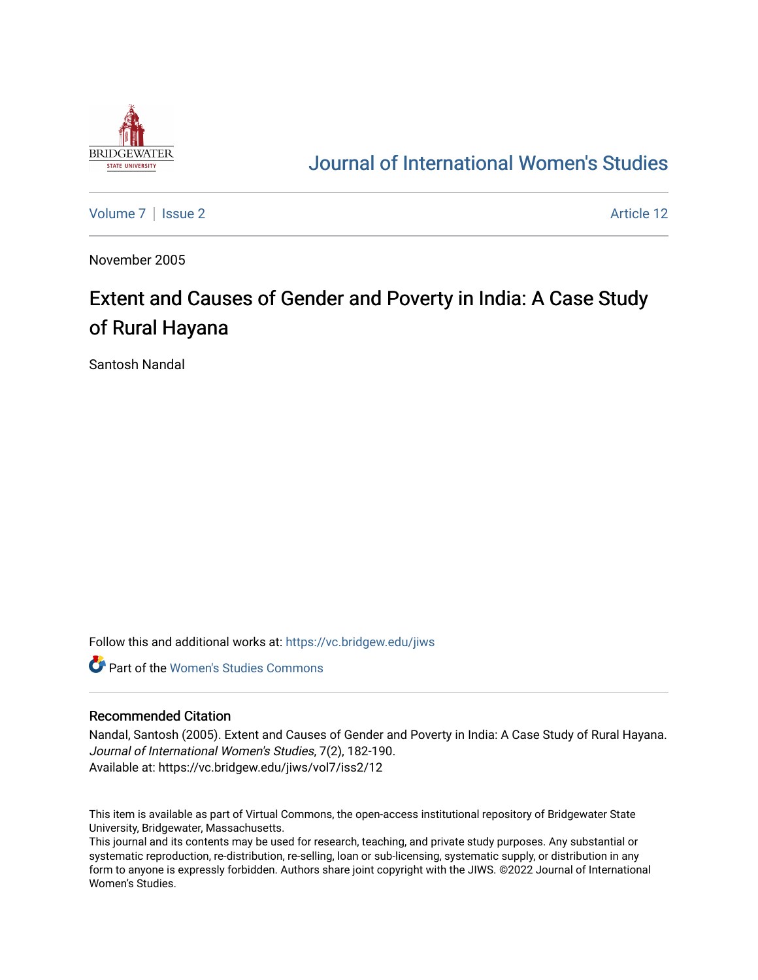

## [Journal of International Women's Studies](https://vc.bridgew.edu/jiws)

[Volume 7](https://vc.bridgew.edu/jiws/vol7) | [Issue 2](https://vc.bridgew.edu/jiws/vol7/iss2) Article 12

November 2005

# Extent and Causes of Gender and Poverty in India: A Case Study of Rural Hayana

Santosh Nandal

Follow this and additional works at: [https://vc.bridgew.edu/jiws](https://vc.bridgew.edu/jiws?utm_source=vc.bridgew.edu%2Fjiws%2Fvol7%2Fiss2%2F12&utm_medium=PDF&utm_campaign=PDFCoverPages)

**C** Part of the Women's Studies Commons

#### Recommended Citation

Nandal, Santosh (2005). Extent and Causes of Gender and Poverty in India: A Case Study of Rural Hayana. Journal of International Women's Studies, 7(2), 182-190. Available at: https://vc.bridgew.edu/jiws/vol7/iss2/12

This item is available as part of Virtual Commons, the open-access institutional repository of Bridgewater State University, Bridgewater, Massachusetts.

This journal and its contents may be used for research, teaching, and private study purposes. Any substantial or systematic reproduction, re-distribution, re-selling, loan or sub-licensing, systematic supply, or distribution in any form to anyone is expressly forbidden. Authors share joint copyright with the JIWS. ©2022 Journal of International Women's Studies.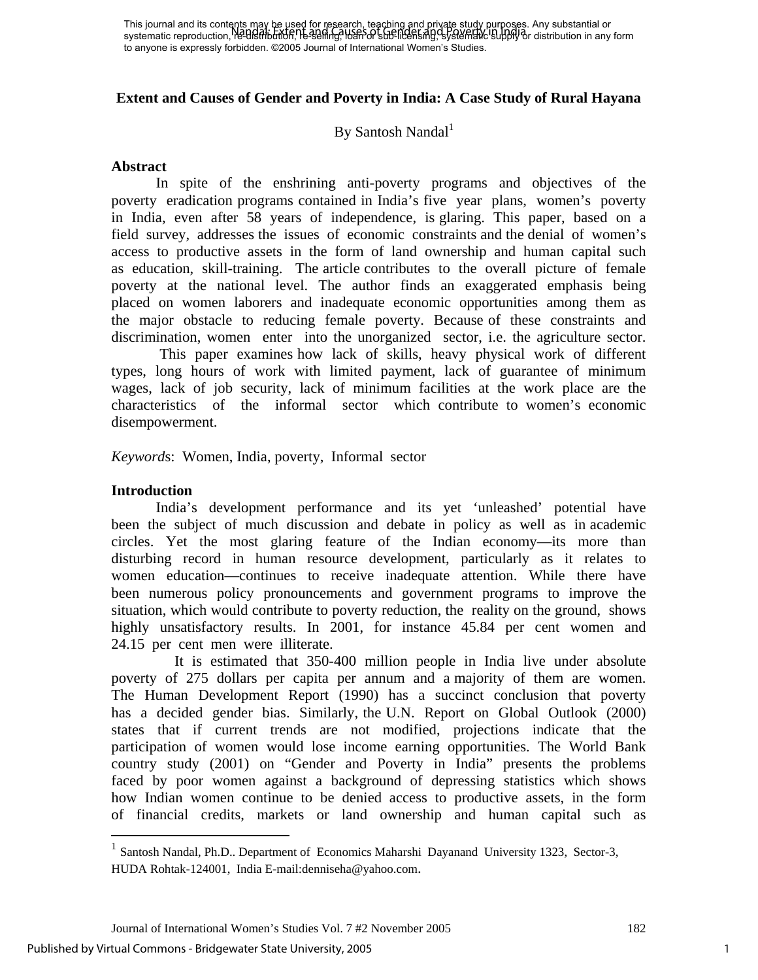#### **Extent and Causes of Gender and Poverty in India: A Case Study of Rural Hayana**

## $\mathbf{B}$ y Santosh Nandal $^1$

#### **Abstract**

In spite of the enshrining anti-poverty programs and objectives of the poverty eradication programs contained in India's five year plans, women's poverty in India, even after 58 years of independence, is glaring. This paper, based on a field survey, addresses the issues of economic constraints and the denial of women's access to productive assets in the form of land ownership and human capital such as education, skill-training. The article contributes to the overall picture of female poverty at the national level. The author finds an exaggerated emphasis being placed on women laborers and inadequate economic opportunities among them as the major obstacle to reducing female poverty. Because of these constraints and discrimination, women enter into the unorganized sector, i.e. the agriculture sector.

 This paper examines how lack of skills, heavy physical work of different types, long hours of work with limited payment, lack of guarantee of minimum wages, lack of job security, lack of minimum facilities at the work place are the characteristics of the informal sector which contribute to women's economic disempowerment.

*Keyword*s: Women, India, poverty, Informal sector

#### **Introduction**

 $\overline{a}$ 

 India's development performance and its yet 'unleashed' potential have been the subject of much discussion and debate in policy as well as in academic circles. Yet the most glaring feature of the Indian economy—its more than disturbing record in human resource development, particularly as it relates to women education—continues to receive inadequate attention. While there have been numerous policy pronouncements and government programs to improve the situation, which would contribute to poverty reduction, the reality on the ground, shows highly unsatisfactory results. In 2001, for instance 45.84 per cent women and 24.15 per cent men were illiterate.

 It is estimated that 350-400 million people in India live under absolute poverty of 275 dollars per capita per annum and a majority of them are women. The Human Development Report (1990) has a succinct conclusion that poverty has a decided gender bias. Similarly, the U.N. Report on Global Outlook (2000) states that if current trends are not modified, projections indicate that the participation of women would lose income earning opportunities. The World Bank country study (2001) on "Gender and Poverty in India" presents the problems faced by poor women against a background of depressing statistics which shows how Indian women continue to be denied access to productive assets, in the form of financial credits, markets or land ownership and human capital such as

<sup>&</sup>lt;sup>1</sup> Santosh Nandal, Ph.D.. Department of Economics Maharshi Dayanand University 1323, Sector-3, HUDA Rohtak-124001, India E-mail:denniseha@yahoo.com.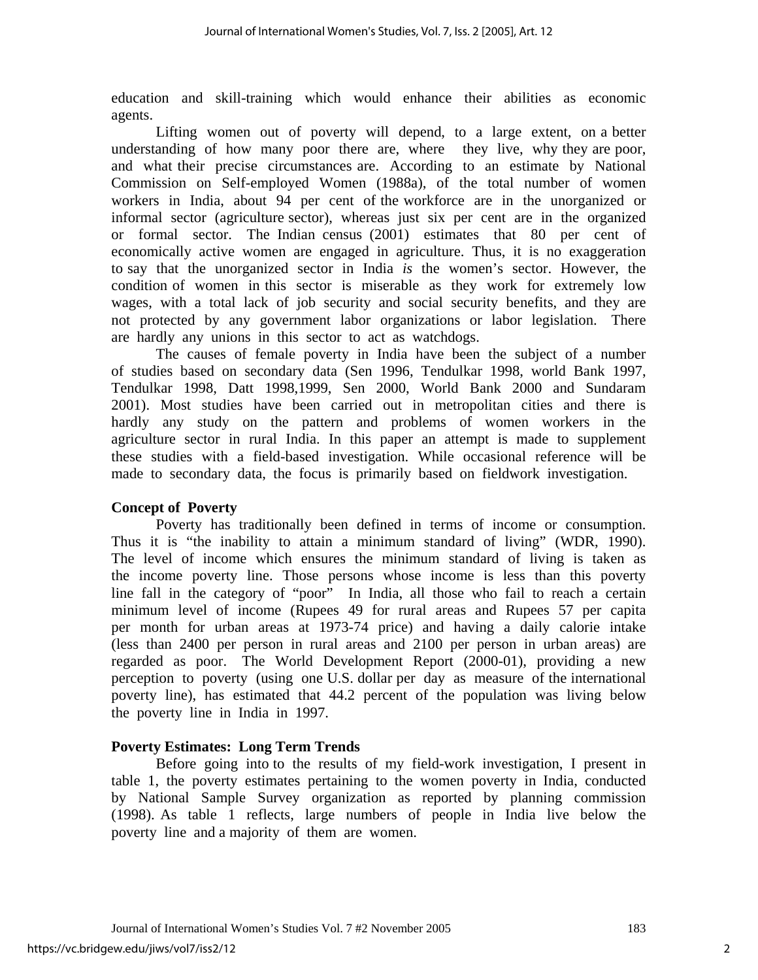education and skill-training which would enhance their abilities as economic agents.

Lifting women out of poverty will depend, to a large extent, on a better understanding of how many poor there are, where they live, why they are poor, and what their precise circumstances are. According to an estimate by National Commission on Self-employed Women (1988a), of the total number of women workers in India, about 94 per cent of the workforce are in the unorganized or informal sector (agriculture sector), whereas just six per cent are in the organized or formal sector. The Indian census (2001) estimates that 80 per cent of economically active women are engaged in agriculture. Thus, it is no exaggeration to say that the unorganized sector in India *is* the women's sector. However, the condition of women in this sector is miserable as they work for extremely low wages, with a total lack of job security and social security benefits, and they are not protected by any government labor organizations or labor legislation. There are hardly any unions in this sector to act as watchdogs.

The causes of female poverty in India have been the subject of a number of studies based on secondary data (Sen 1996, Tendulkar 1998, world Bank 1997, Tendulkar 1998, Datt 1998,1999, Sen 2000, World Bank 2000 and Sundaram 2001). Most studies have been carried out in metropolitan cities and there is hardly any study on the pattern and problems of women workers in the agriculture sector in rural India. In this paper an attempt is made to supplement these studies with a field-based investigation. While occasional reference will be made to secondary data, the focus is primarily based on fieldwork investigation.

## **Concept of Poverty**

 Poverty has traditionally been defined in terms of income or consumption. Thus it is "the inability to attain a minimum standard of living" (WDR, 1990). The level of income which ensures the minimum standard of living is taken as the income poverty line. Those persons whose income is less than this poverty line fall in the category of "poor" In India, all those who fail to reach a certain minimum level of income (Rupees 49 for rural areas and Rupees 57 per capita per month for urban areas at 1973-74 price) and having a daily calorie intake (less than 2400 per person in rural areas and 2100 per person in urban areas) are regarded as poor. The World Development Report (2000-01), providing a new perception to poverty (using one U.S. dollar per day as measure of the international poverty line), has estimated that 44.2 percent of the population was living below the poverty line in India in 1997.

## **Poverty Estimates: Long Term Trends**

Before going into to the results of my field-work investigation, I present in table 1, the poverty estimates pertaining to the women poverty in India, conducted by National Sample Survey organization as reported by planning commission (1998). As table 1 reflects, large numbers of people in India live below the poverty line and a majority of them are women.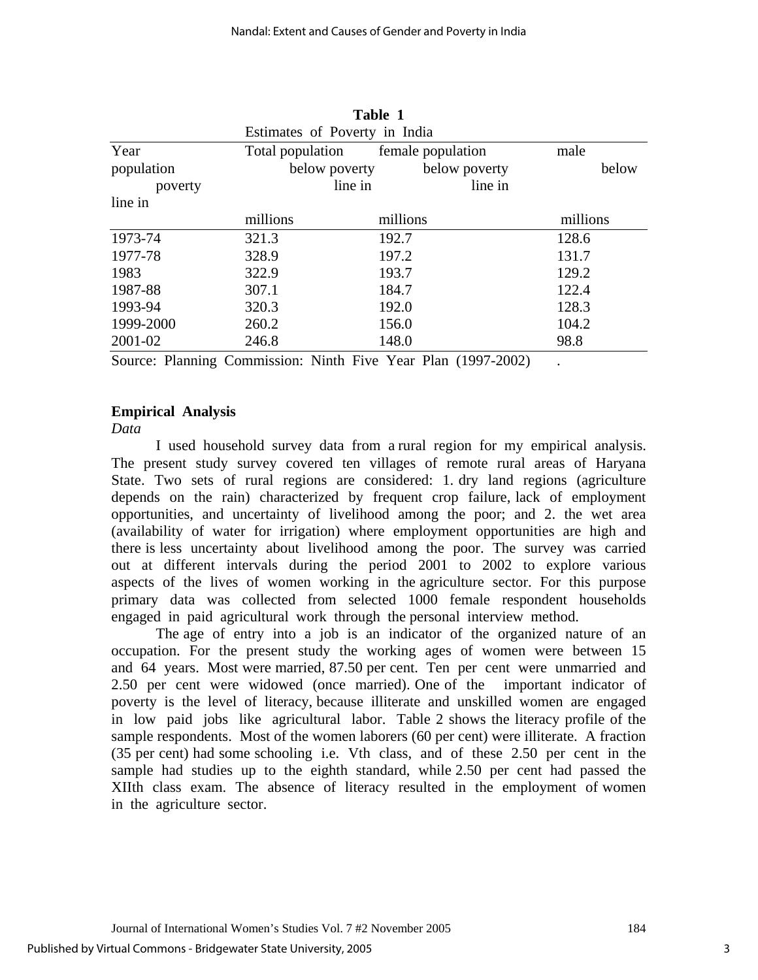**Table 1** 

|            |                               | таріє т  |                   |          |       |
|------------|-------------------------------|----------|-------------------|----------|-------|
|            | Estimates of Poverty in India |          |                   |          |       |
| Year       | Total population              |          | female population | male     |       |
| population | below poverty                 |          | below poverty     |          | below |
| poverty    |                               | line in  | line in           |          |       |
| line in    |                               |          |                   |          |       |
|            | millions                      | millions |                   | millions |       |
| 1973-74    | 321.3                         | 192.7    |                   | 128.6    |       |
| 1977-78    | 328.9                         | 197.2    |                   | 131.7    |       |
| 1983       | 322.9                         | 193.7    |                   | 129.2    |       |
| 1987-88    | 307.1                         | 184.7    |                   | 122.4    |       |
| 1993-94    | 320.3                         | 192.0    |                   | 128.3    |       |
| 1999-2000  | 260.2                         | 156.0    |                   | 104.2    |       |
| 2001-02    | 246.8                         | 148.0    |                   | 98.8     |       |

Source: Planning Commission: Ninth Five Year Plan (1997-2002)

## **Empirical Analysis**

*Data* 

 I used household survey data from a rural region for my empirical analysis. The present study survey covered ten villages of remote rural areas of Haryana State. Two sets of rural regions are considered: 1. dry land regions (agriculture depends on the rain) characterized by frequent crop failure, lack of employment opportunities, and uncertainty of livelihood among the poor; and 2. the wet area (availability of water for irrigation) where employment opportunities are high and there is less uncertainty about livelihood among the poor. The survey was carried out at different intervals during the period 2001 to 2002 to explore various aspects of the lives of women working in the agriculture sector. For this purpose primary data was collected from selected 1000 female respondent households engaged in paid agricultural work through the personal interview method.

The age of entry into a job is an indicator of the organized nature of an occupation. For the present study the working ages of women were between 15 and 64 years. Most were married, 87.50 per cent. Ten per cent were unmarried and 2.50 per cent were widowed (once married). One of the important indicator of poverty is the level of literacy, because illiterate and unskilled women are engaged in low paid jobs like agricultural labor. Table 2 shows the literacy profile of the sample respondents. Most of the women laborers (60 per cent) were illiterate. A fraction (35 per cent) had some schooling i.e. Vth class, and of these 2.50 per cent in the sample had studies up to the eighth standard, while 2.50 per cent had passed the XIIth class exam. The absence of literacy resulted in the employment of women in the agriculture sector.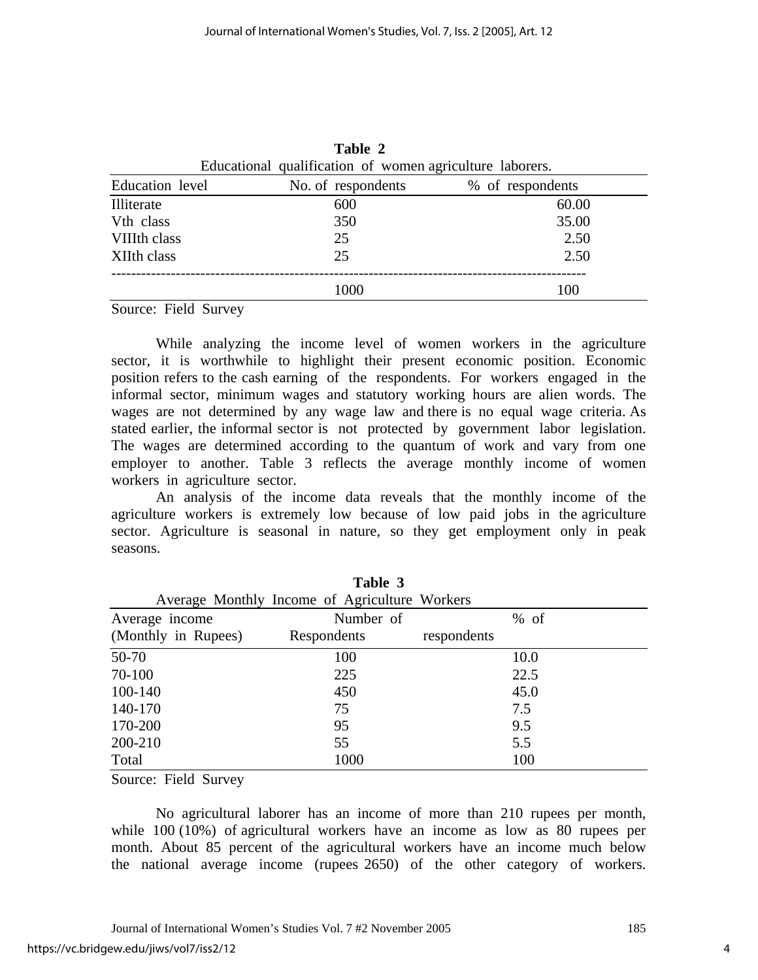|                                                          |  | taviv <i>a</i>     |                  |  |
|----------------------------------------------------------|--|--------------------|------------------|--|
| Educational qualification of women agriculture laborers. |  |                    |                  |  |
| Education level                                          |  | No. of respondents | % of respondents |  |
| Illiterate                                               |  | 600                | 60.00            |  |
| V <sub>th</sub> class                                    |  | 350                | 35.00            |  |
| VIIIth class                                             |  | 25                 | 2.50             |  |
| XIIth class                                              |  | 25                 | 2.50             |  |
|                                                          |  | 1000               | 100              |  |

**Table 2** 

Source: Field Survey

 While analyzing the income level of women workers in the agriculture sector, it is worthwhile to highlight their present economic position. Economic position refers to the cash earning of the respondents. For workers engaged in the informal sector, minimum wages and statutory working hours are alien words. The wages are not determined by any wage law and there is no equal wage criteria. As stated earlier, the informal sector is not protected by government labor legislation. The wages are determined according to the quantum of work and vary from one employer to another. Table 3 reflects the average monthly income of women workers in agriculture sector.

 An analysis of the income data reveals that the monthly income of the agriculture workers is extremely low because of low paid jobs in the agriculture sector. Agriculture is seasonal in nature, so they get employment only in peak seasons.

|                     | Table 3                                       |             |      |
|---------------------|-----------------------------------------------|-------------|------|
|                     | Average Monthly Income of Agriculture Workers |             |      |
| Average income      | Number of                                     |             | % of |
| (Monthly in Rupees) | Respondents                                   | respondents |      |
| 50-70               | 100                                           |             | 10.0 |
| 70-100              | 225                                           |             | 22.5 |
| 100-140             | 450                                           |             | 45.0 |
| 140-170             | 75                                            |             | 7.5  |
| 170-200             | 95                                            |             | 9.5  |
| 200-210             | 55                                            |             | 5.5  |
| Total               | 1000                                          |             | 100  |

Source: Field Survey

 No agricultural laborer has an income of more than 210 rupees per month, while 100 (10%) of agricultural workers have an income as low as 80 rupees per month. About 85 percent of the agricultural workers have an income much below the national average income (rupees 2650) of the other category of workers.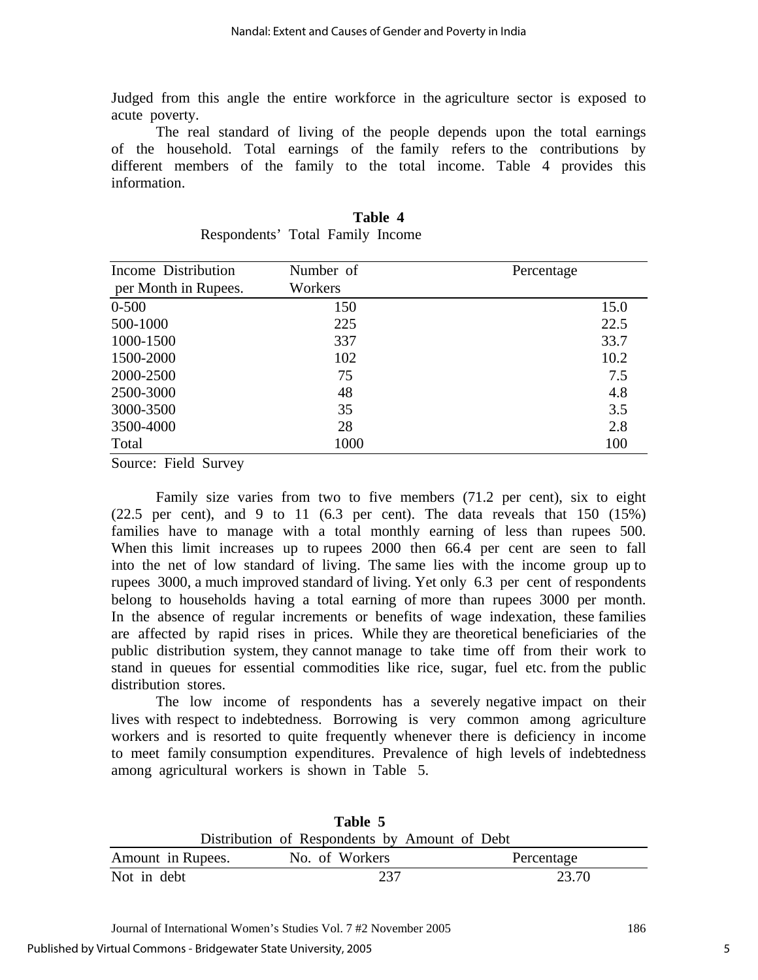Judged from this angle the entire workforce in the agriculture sector is exposed to acute poverty.

 The real standard of living of the people depends upon the total earnings of the household. Total earnings of the family refers to the contributions by different members of the family to the total income. Table 4 provides this information.

| Income Distribution<br>per Month in Rupees. | Number of<br>Workers | Percentage |
|---------------------------------------------|----------------------|------------|
| $0 - 500$                                   | 150                  | 15.0       |
| 500-1000                                    | 225                  | 22.5       |
| 1000-1500                                   | 337                  | 33.7       |
| 1500-2000                                   | 102                  | 10.2       |
| 2000-2500                                   | 75                   | 7.5        |
| 2500-3000                                   | 48                   | 4.8        |
| 3000-3500                                   | 35                   | 3.5        |
| 3500-4000                                   | 28                   | 2.8        |
| Total                                       | 1000                 | 100        |

|                                  |  | Table 4 |
|----------------------------------|--|---------|
| Respondents' Total Family Income |  |         |

Source: Field Survey

Family size varies from two to five members (71.2 per cent), six to eight  $(22.5 \text{ per cent})$ , and 9 to 11  $(6.3 \text{ per cent})$ . The data reveals that 150  $(15\%)$ families have to manage with a total monthly earning of less than rupees 500. When this limit increases up to rupees 2000 then 66.4 per cent are seen to fall into the net of low standard of living. The same lies with the income group up to rupees 3000, a much improved standard of living. Yet only 6.3 per cent of respondents belong to households having a total earning of more than rupees 3000 per month. In the absence of regular increments or benefits of wage indexation, these families are affected by rapid rises in prices. While they are theoretical beneficiaries of the public distribution system, they cannot manage to take time off from their work to stand in queues for essential commodities like rice, sugar, fuel etc. from the public distribution stores.

 The low income of respondents has a severely negative impact on their lives with respect to indebtedness. Borrowing is very common among agriculture workers and is resorted to quite frequently whenever there is deficiency in income to meet family consumption expenditures. Prevalence of high levels of indebtedness among agricultural workers is shown in Table 5.

| Table 5                                       |  |  |                |            |
|-----------------------------------------------|--|--|----------------|------------|
| Distribution of Respondents by Amount of Debt |  |  |                |            |
| Amount in Rupees.                             |  |  | No. of Workers | Percentage |
| Not in debt                                   |  |  | 237            | 23.70      |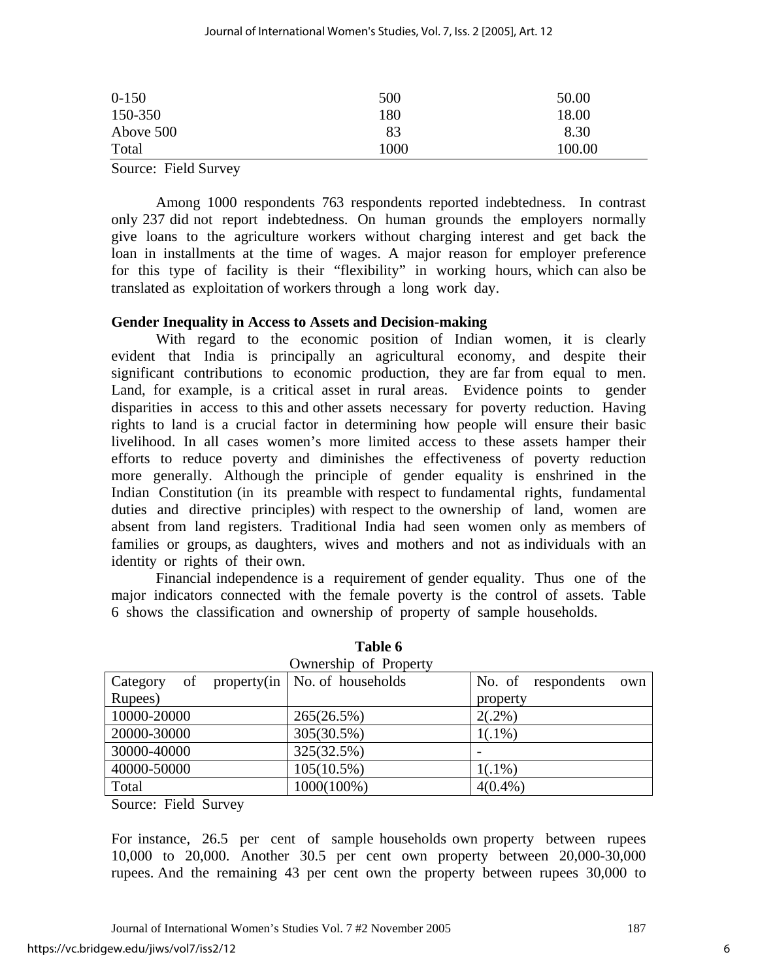| $0-150$   | 500  | 50.00  |
|-----------|------|--------|
| 150-350   | 180  | 18.00  |
| Above 500 | 83   | 8.30   |
| Total     | 1000 | 100.00 |

Source: Field Survey

 Among 1000 respondents 763 respondents reported indebtedness. In contrast only 237 did not report indebtedness. On human grounds the employers normally give loans to the agriculture workers without charging interest and get back the loan in installments at the time of wages. A major reason for employer preference for this type of facility is their "flexibility" in working hours, which can also be translated as exploitation of workers through a long work day.

#### **Gender Inequality in Access to Assets and Decision-making**

 With regard to the economic position of Indian women, it is clearly evident that India is principally an agricultural economy, and despite their significant contributions to economic production, they are far from equal to men. Land, for example, is a critical asset in rural areas. Evidence points to gender disparities in access to this and other assets necessary for poverty reduction. Having rights to land is a crucial factor in determining how people will ensure their basic livelihood. In all cases women's more limited access to these assets hamper their efforts to reduce poverty and diminishes the effectiveness of poverty reduction more generally. Although the principle of gender equality is enshrined in the Indian Constitution (in its preamble with respect to fundamental rights, fundamental duties and directive principles) with respect to the ownership of land, women are absent from land registers. Traditional India had seen women only as members of families or groups, as daughters, wives and mothers and not as individuals with an identity or rights of their own.

Financial independence is a requirement of gender equality. Thus one of the major indicators connected with the female poverty is the control of assets. Table 6 shows the classification and ownership of property of sample households.

|                | Ownership of Property                          |                           |
|----------------|------------------------------------------------|---------------------------|
| Category<br>of | property $(in \mid No. \text{ of households})$ | No. of respondents<br>own |
| Rupees)        |                                                | property                  |
| 10000-20000    | 265(26.5%)                                     | $2(.2\%)$                 |
| 20000-30000    | 305(30.5%)                                     | $1(.1\%)$                 |
| 30000-40000    | 325(32.5%)                                     |                           |
| 40000-50000    | $105(10.5\%)$                                  | $1(.1\%)$                 |
| Total          | 1000(100%)                                     | $4(0.4\%)$                |

**Table 6** 

Source: Field Survey

For instance, 26.5 per cent of sample households own property between rupees 10,000 to 20,000. Another 30.5 per cent own property between 20,000-30,000 rupees. And the remaining 43 per cent own the property between rupees 30,000 to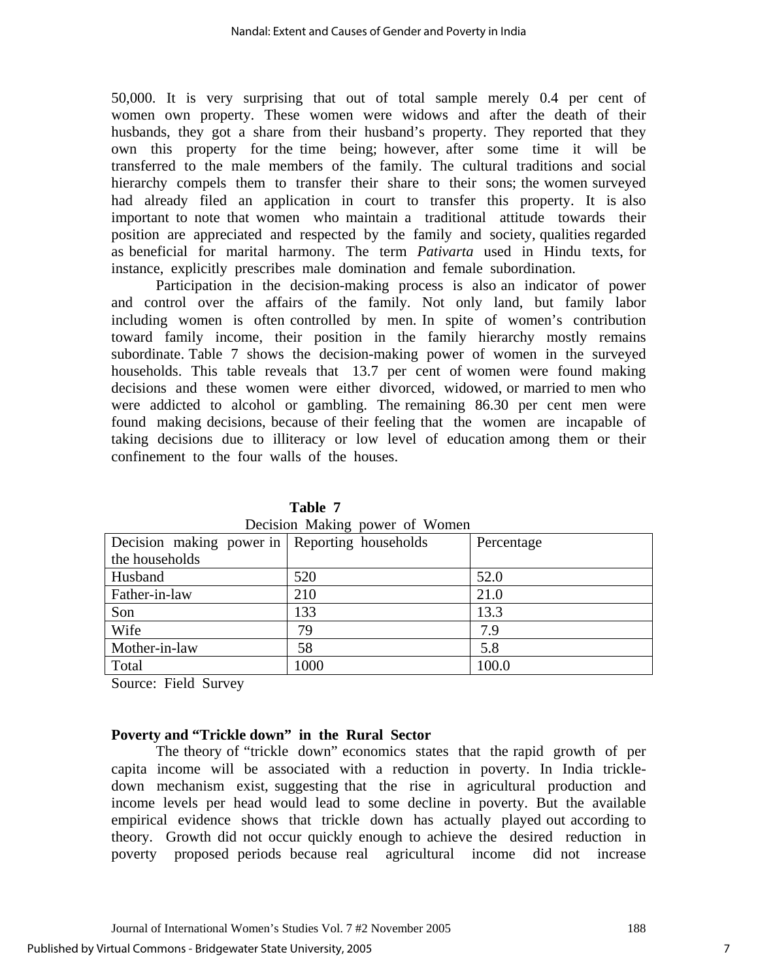50,000. It is very surprising that out of total sample merely 0.4 per cent of women own property. These women were widows and after the death of their husbands, they got a share from their husband's property. They reported that they own this property for the time being; however, after some time it will be transferred to the male members of the family. The cultural traditions and social hierarchy compels them to transfer their share to their sons; the women surveyed had already filed an application in court to transfer this property. It is also important to note that women who maintain a traditional attitude towards their position are appreciated and respected by the family and society, qualities regarded as beneficial for marital harmony. The term *Pativarta* used in Hindu texts, for instance, explicitly prescribes male domination and female subordination.

 Participation in the decision-making process is also an indicator of power and control over the affairs of the family. Not only land, but family labor including women is often controlled by men. In spite of women's contribution toward family income, their position in the family hierarchy mostly remains subordinate. Table 7 shows the decision-making power of women in the surveyed households. This table reveals that 13.7 per cent of women were found making decisions and these women were either divorced, widowed, or married to men who were addicted to alcohol or gambling. The remaining 86.30 per cent men were found making decisions, because of their feeling that the women are incapable of taking decisions due to illiteracy or low level of education among them or their confinement to the four walls of the houses.

| Decision making power of women                |      |            |  |  |
|-----------------------------------------------|------|------------|--|--|
| Decision making power in Reporting households |      | Percentage |  |  |
| the households                                |      |            |  |  |
| Husband                                       | 520  | 52.0       |  |  |
| Father-in-law                                 | 210  | 21.0       |  |  |
| Son                                           | 133  | 13.3       |  |  |
| Wife                                          | 79   | 7.9        |  |  |
| Mother-in-law                                 | 58   | 5.8        |  |  |
| Total                                         | 1000 | 100.0      |  |  |

**Table 7**  Decision Making power of Women

Source: Field Survey

## **Poverty and "Trickle down" in the Rural Sector**

 The theory of "trickle down" economics states that the rapid growth of per capita income will be associated with a reduction in poverty. In India trickledown mechanism exist, suggesting that the rise in agricultural production and income levels per head would lead to some decline in poverty. But the available empirical evidence shows that trickle down has actually played out according to theory. Growth did not occur quickly enough to achieve the desired reduction in poverty proposed periods because real agricultural income did not increase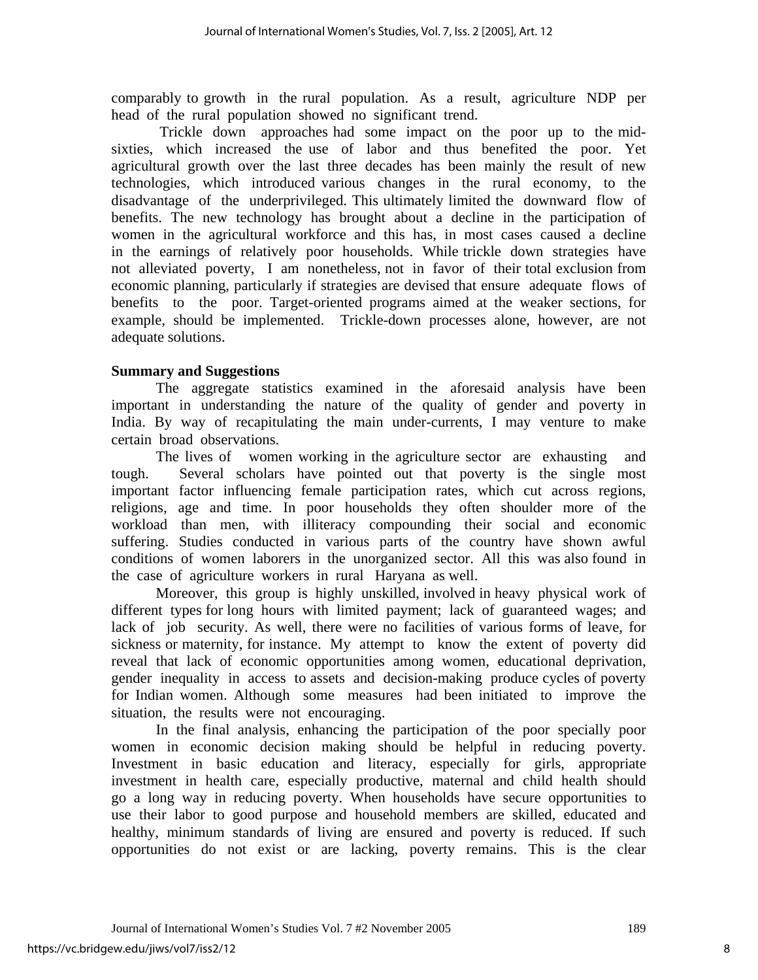comparably to growth in the rural population. As a result, agriculture NDP per head of the rural population showed no significant trend.

 Trickle down approaches had some impact on the poor up to the midsixties, which increased the use of labor and thus benefited the poor. Yet agricultural growth over the last three decades has been mainly the result of new technologies, which introduced various changes in the rural economy, to the disadvantage of the underprivileged. This ultimately limited the downward flow of benefits. The new technology has brought about a decline in the participation of women in the agricultural workforce and this has, in most cases caused a decline in the earnings of relatively poor households. While trickle down strategies have not alleviated poverty, I am nonetheless, not in favor of their total exclusion from economic planning, particularly if strategies are devised that ensure adequate flows of benefits to the poor. Target-oriented programs aimed at the weaker sections, for example, should be implemented. Trickle-down processes alone, however, are not adequate solutions.

### **Summary and Suggestions**

 The aggregate statistics examined in the aforesaid analysis have been important in understanding the nature of the quality of gender and poverty in India. By way of recapitulating the main under-currents, I may venture to make certain broad observations.

 The lives of women working in the agriculture sector are exhausting and tough. Several scholars have pointed out that poverty is the single most important factor influencing female participation rates, which cut across regions, religions, age and time. In poor households they often shoulder more of the workload than men, with illiteracy compounding their social and economic suffering. Studies conducted in various parts of the country have shown awful conditions of women laborers in the unorganized sector. All this was also found in the case of agriculture workers in rural Haryana as well.

Moreover, this group is highly unskilled, involved in heavy physical work of different types for long hours with limited payment; lack of guaranteed wages; and lack of job security. As well, there were no facilities of various forms of leave, for sickness or maternity, for instance. My attempt to know the extent of poverty did reveal that lack of economic opportunities among women, educational deprivation, gender inequality in access to assets and decision-making produce cycles of poverty for Indian women. Although some measures had been initiated to improve the situation, the results were not encouraging.

In the final analysis, enhancing the participation of the poor specially poor women in economic decision making should be helpful in reducing poverty. Investment in basic education and literacy, especially for girls, appropriate investment in health care, especially productive, maternal and child health should go a long way in reducing poverty. When households have secure opportunities to use their labor to good purpose and household members are skilled, educated and healthy, minimum standards of living are ensured and poverty is reduced. If such opportunities do not exist or are lacking, poverty remains. This is the clear